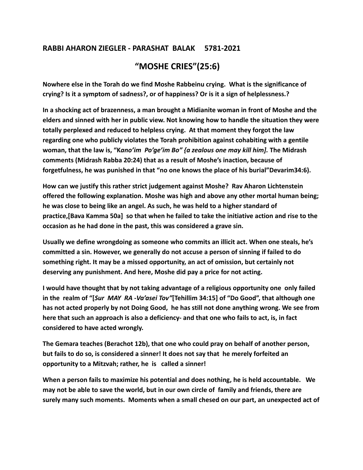## **RABBI AHARON ZIEGLER - PARASHAT BALAK 5781-2021**

## **"MOSHE CRIES"(25:6)**

**Nowhere else in the Torah do we find Moshe Rabbeinu crying. What is the significance of crying? Is it a symptom of sadness?, or of happiness? Or is it a sign of helplessness.?**

**In a shocking act of brazenness, a man brought a Midianite woman in front of Moshe and the elders and sinned with her in public view. Not knowing how to handle the situation they were totally perplexed and reduced to helpless crying. At that moment they forgot the law regarding one who publicly violates the Torah prohibition against cohabiting with a gentile woman, that the law is, "K***ano'im Po'ge'im Bo" {a zealous one may kill him].* **The Midrash comments (Midrash Rabba 20:24) that as a result of Moshe's inaction, because of forgetfulness, he was punished in that "no one knows the place of his burial"Devarim34:6).**

**How can we justify this rather strict judgement against Moshe? Rav Aharon Lichtenstein offered the following explanation. Moshe was high and above any other mortal human being; he was close to being like an angel. As such, he was held to a higher standard of practice,[Bava Kamma 50a] so that when he failed to take the initiative action and rise to the occasion as he had done in the past, this was considered a grave sin.**

**Usually we define wrongdoing as someone who commits an illicit act. When one steals, he's committed a sin. However, we generally do not accuse a person of sinning if failed to do something right. It may be a missed opportunity, an act of omission, but certainly not deserving any punishment. And here, Moshe did pay a price for not acting.**

**I would have thought that by not taking advantage of a religious opportunity one only failed in the realm of "[***Sur MAY RA -Va'asei Tov"***[Tehillim 34:15] of "Do Good", that although one has not acted properly by not Doing Good, he has still not done anything wrong. We see from here that such an approach is also a deficiency- and that one who fails to act, is, in fact considered to have acted wrongly.**

**The Gemara teaches (Berachot 12b), that one who could pray on behalf of another person, but fails to do so, is considered a sinner! It does not say that he merely forfeited an opportunity to a Mitzvah; rather, he is called a sinner!**

**When a person fails to maximize his potential and does nothing, he is held accountable. We may not be able to save the world, but in our own circle of family and friends, there are surely many such moments. Moments when a small chesed on our part, an unexpected act of**